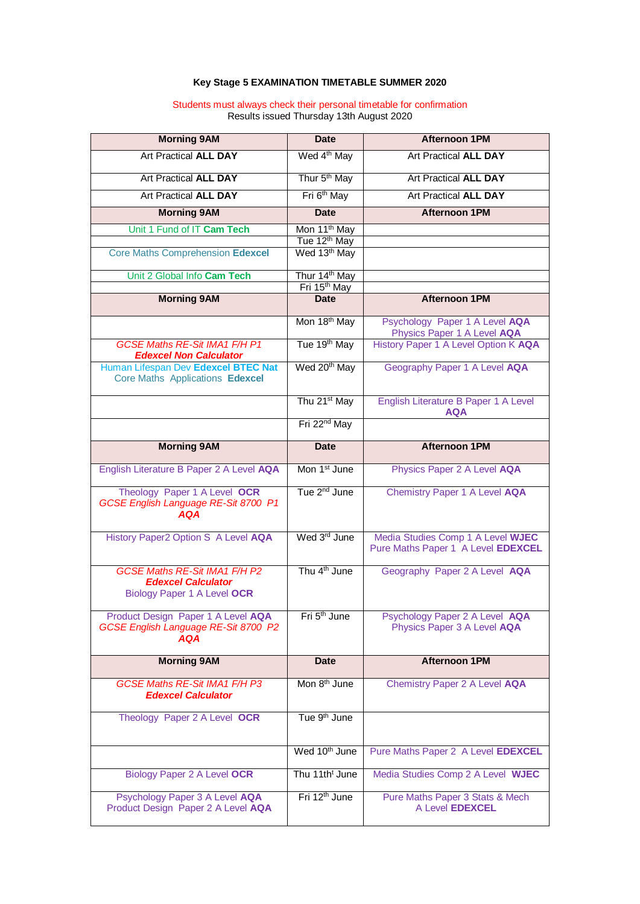## **Key Stage 5 EXAMINATION TIMETABLE SUMMER 2020**

## Students must always check their personal timetable for confirmation Results issued Thursday 13th August 2020

| <b>Morning 9AM</b>                                                                               | <b>Date</b>                 | <b>Afternoon 1PM</b>                                                    |
|--------------------------------------------------------------------------------------------------|-----------------------------|-------------------------------------------------------------------------|
| <b>Art Practical ALL DAY</b>                                                                     | Wed 4 <sup>th</sup> May     | <b>Art Practical ALL DAY</b>                                            |
| <b>Art Practical ALL DAY</b>                                                                     | Thur 5 <sup>th</sup> May    | <b>Art Practical ALL DAY</b>                                            |
| <b>Art Practical ALL DAY</b>                                                                     | Fri 6 <sup>th</sup> May     | <b>Art Practical ALL DAY</b>                                            |
| <b>Morning 9AM</b>                                                                               | <b>Date</b>                 | <b>Afternoon 1PM</b>                                                    |
| Unit 1 Fund of IT Cam Tech                                                                       | Mon 11 <sup>th</sup> May    |                                                                         |
|                                                                                                  | Tue 12 <sup>th</sup> May    |                                                                         |
| <b>Core Maths Comprehension Edexcel</b>                                                          | Wed 13 <sup>th</sup> May    |                                                                         |
| Unit 2 Global Info Cam Tech                                                                      | Thur 14 <sup>th</sup> May   |                                                                         |
|                                                                                                  | Fri 15th May<br><b>Date</b> | <b>Afternoon 1PM</b>                                                    |
| <b>Morning 9AM</b>                                                                               |                             |                                                                         |
|                                                                                                  | Mon 18 <sup>th</sup> May    | Psychology Paper 1 A Level AQA<br>Physics Paper 1 A Level AQA           |
| <b>GCSE Maths RE-Sit IMA1 F/H P1</b><br><b>Edexcel Non Calculator</b>                            | Tue 19 <sup>th</sup> May    | History Paper 1 A Level Option K AQA                                    |
| Human Lifespan Dev Edexcel BTEC Nat<br>Core Maths Applications Edexcel                           | Wed 20 <sup>th</sup> May    | Geography Paper 1 A Level AQA                                           |
|                                                                                                  | Thu 21 <sup>st</sup> May    | English Literature B Paper 1 A Level<br><b>AQA</b>                      |
|                                                                                                  | Fri 22 <sup>nd</sup> May    |                                                                         |
| <b>Morning 9AM</b>                                                                               | <b>Date</b>                 | <b>Afternoon 1PM</b>                                                    |
| English Literature B Paper 2 A Level AQA                                                         | Mon 1 <sup>st</sup> June    | Physics Paper 2 A Level AQA                                             |
| Theology Paper 1 A Level OCR<br>GCSE English Language RE-Sit 8700 P1<br><b>AQA</b>               | Tue 2 <sup>nd</sup> June    | <b>Chemistry Paper 1 A Level AQA</b>                                    |
| History Paper2 Option S A Level AQA                                                              | Wed 3rd June                | Media Studies Comp 1 A Level WJEC<br>Pure Maths Paper 1 A Level EDEXCEL |
| <b>GCSE Maths RE-Sit IMA1 F/H P2</b><br><b>Edexcel Calculator</b><br>Biology Paper 1 A Level OCR | Thu 4 <sup>th</sup> June    | Geography Paper 2 A Level AQA                                           |
| Product Design Paper 1 A Level AQA<br>GCSE English Language RE-Sit 8700 P2<br><b>AQA</b>         | Fri 5 <sup>th</sup> June    | Psychology Paper 2 A Level AQA<br>Physics Paper 3 A Level AQA           |
| <b>Morning 9AM</b>                                                                               | <b>Date</b>                 | <b>Afternoon 1PM</b>                                                    |
| <b>GCSE Maths RE-Sit IMA1 F/H P3</b><br><b>Edexcel Calculator</b>                                | Mon 8 <sup>th</sup> June    | Chemistry Paper 2 A Level AQA                                           |
| Theology Paper 2 A Level OCR                                                                     | Tue 9 <sup>th</sup> June    |                                                                         |
|                                                                                                  | Wed 10 <sup>th</sup> June   | Pure Maths Paper 2 A Level EDEXCEL                                      |
| Biology Paper 2 A Level OCR                                                                      | Thu 11th <sup>t</sup> June  | Media Studies Comp 2 A Level WJEC                                       |
| Psychology Paper 3 A Level AQA<br>Product Design Paper 2 A Level AQA                             | Fri 12 <sup>th</sup> June   | Pure Maths Paper 3 Stats & Mech<br>A Level EDEXCEL                      |